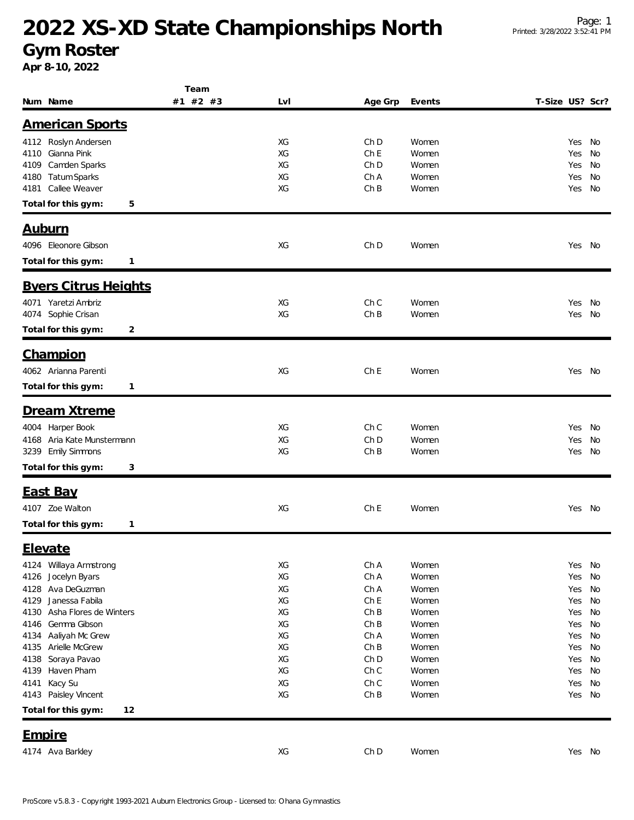### **2022 XS-XD State Championships North**

#### **Gym Roster**

**Apr 8-10, 2022**

|                                | Team     |     |                 |        |                 |        |    |
|--------------------------------|----------|-----|-----------------|--------|-----------------|--------|----|
| Num Name                       | #1 #2 #3 | Lvl | Age Grp         | Events | T-Size US? Scr? |        |    |
|                                |          |     |                 |        |                 |        |    |
| <b>American Sports</b>         |          |     |                 |        |                 |        |    |
| 4112 Roslyn Andersen           |          | XG  | Ch D            | Women  |                 | Yes No |    |
| 4110 Gianna Pink               |          | XG  | Ch E            | Women  |                 | Yes    | No |
| Camden Sparks<br>4109          |          | ХG  | Ch D            | Women  |                 | Yes    | No |
| <b>Tatum Sparks</b><br>4180    |          | XG  | Ch A            | Women  |                 | Yes    | No |
| Callee Weaver<br>4181          |          | XG  | ChB             | Women  |                 | Yes    | No |
| Total for this gym:<br>5       |          |     |                 |        |                 |        |    |
|                                |          |     |                 |        |                 |        |    |
| <u>Auburn</u>                  |          |     |                 |        |                 |        |    |
| 4096 Eleonore Gibson           |          | XG  | Ch D            | Women  |                 | Yes No |    |
|                                |          |     |                 |        |                 |        |    |
| Total for this gym:<br>1       |          |     |                 |        |                 |        |    |
| <b>Byers Citrus Heights</b>    |          |     |                 |        |                 |        |    |
| 4071 Yaretzi Ambriz            |          | XG  | Ch C            | Women  |                 | Yes    | No |
| 4074 Sophie Crisan             |          | XG  | ChB             | Women  |                 | Yes    | No |
|                                |          |     |                 |        |                 |        |    |
| Total for this gym:<br>2       |          |     |                 |        |                 |        |    |
| Champion                       |          |     |                 |        |                 |        |    |
|                                |          |     |                 |        |                 |        |    |
| 4062 Arianna Parenti           |          | XG  | ChE             | Women  |                 | Yes No |    |
| Total for this gym:<br>1       |          |     |                 |        |                 |        |    |
| Dream Xtreme                   |          |     |                 |        |                 |        |    |
|                                |          |     |                 |        |                 |        |    |
| 4004 Harper Book               |          | XG  | Ch C            | Women  |                 | Yes No |    |
| 4168 Aria Kate Munstermann     |          | XG  | Ch <sub>D</sub> | Women  |                 | Yes    | No |
| 3239 Emily Simmons             |          | XG  | ChB             | Women  |                 | Yes    | No |
| Total for this gym:<br>3       |          |     |                 |        |                 |        |    |
| <b>East Bay</b>                |          |     |                 |        |                 |        |    |
|                                |          |     |                 |        |                 |        |    |
| 4107 Zoe Walton                |          | XG  | Ch <sub>E</sub> | Women  |                 | Yes No |    |
| Total for this gym:<br>1       |          |     |                 |        |                 |        |    |
| Elevate                        |          |     |                 |        |                 |        |    |
|                                |          |     |                 |        |                 |        |    |
| Willaya Armstrong<br>4124      |          | XG  | Ch A            | Women  |                 | Yes    | No |
| Jocelyn Byars<br>4126          |          | XG  | Ch A            | Women  |                 | Yes    | No |
| Ava DeGuzman<br>4128           |          | XG  | Ch A            | Women  |                 | Yes    | No |
| Janessa Fabila<br>4129         |          | XG  | Ch E            | Women  |                 | Yes    | No |
| Asha Flores de Winters<br>4130 |          | XG  | ChB             | Women  |                 | Yes    | No |
| Gemma Gibson<br>4146           |          | XG  | ChB             | Women  |                 | Yes    | No |
| Aaliyah Mc Grew<br>4134        |          | XG  | Ch A            | Women  |                 | Yes    | No |
| Arielle McGrew<br>4135         |          | XG  | ChB             | Women  |                 | Yes    | No |
| Soraya Pavao<br>4138           |          | XG  | Ch D            | Women  |                 | Yes    | No |
| Haven Pham<br>4139             |          | XG  | Ch C            | Women  |                 | Yes    | No |
| Kacy Su<br>4141                |          | XG  | Ch C            | Women  |                 | Yes    | No |
| Paisley Vincent<br>4143        |          | XG  | ChB             | Women  |                 | Yes    | No |
| Total for this gym:<br>12      |          |     |                 |        |                 |        |    |
| <b>Empire</b>                  |          |     |                 |        |                 |        |    |
|                                |          |     |                 |        |                 |        |    |
| 4174 Ava Barkley               |          | XG  | Ch D            | Women  |                 | Yes No |    |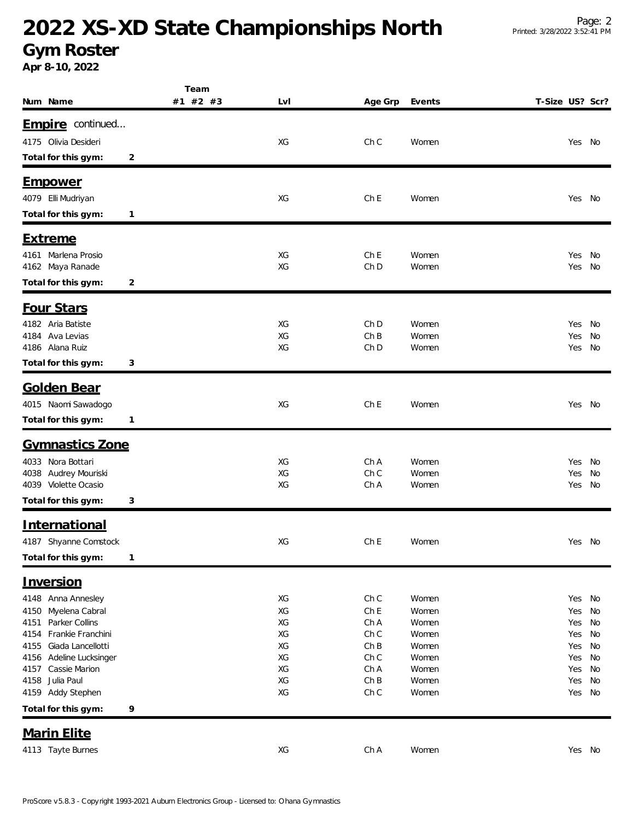# **2022 XS-XD State Championships North**

#### **Gym Roster**

**Apr 8-10, 2022**

|                                         | Team     |          |                         |                |                 |            |          |
|-----------------------------------------|----------|----------|-------------------------|----------------|-----------------|------------|----------|
| Num Name                                | #1 #2 #3 | Lvl      | Age Grp                 | Events         | T-Size US? Scr? |            |          |
|                                         |          |          |                         |                |                 |            |          |
| Empire continued                        |          |          |                         |                |                 |            |          |
| 4175 Olivia Desideri                    |          | XG       | Ch C                    | Women          |                 | Yes        | No       |
| Total for this gym:                     | 2        |          |                         |                |                 |            |          |
|                                         |          |          |                         |                |                 |            |          |
| <u>Empower</u>                          |          |          |                         |                |                 |            |          |
| 4079 Elli Mudriyan                      |          | XG       | Ch <sub>E</sub>         | Women          |                 | Yes No     |          |
| Total for this gym:                     | 1        |          |                         |                |                 |            |          |
| <u>Extreme</u>                          |          |          |                         |                |                 |            |          |
|                                         |          |          |                         |                |                 |            |          |
| 4161 Marlena Prosio<br>4162 Maya Ranade |          | XG<br>XG | Ch E<br>Ch <sub>D</sub> | Women<br>Women |                 | Yes<br>Yes | No<br>No |
|                                         | 2        |          |                         |                |                 |            |          |
| Total for this gym:                     |          |          |                         |                |                 |            |          |
| Four Stars                              |          |          |                         |                |                 |            |          |
| 4182 Aria Batiste                       |          | XG       | Ch D                    | Women          |                 | Yes        | No       |
| Ava Levias<br>4184                      |          | XG       | ChB                     | Women          |                 | Yes        | No       |
| 4186 Alana Ruiz                         |          | XG       | Ch D                    | Women          |                 | Yes        | No       |
| Total for this gym:                     | 3        |          |                         |                |                 |            |          |
| <b>Golden Bear</b>                      |          |          |                         |                |                 |            |          |
|                                         |          |          |                         |                |                 |            |          |
| 4015 Naomi Sawadogo                     |          | XG       | Ch <sub>E</sub>         | Women          |                 | Yes No     |          |
| Total for this gym:                     | 1        |          |                         |                |                 |            |          |
| Gymnastics Zone                         |          |          |                         |                |                 |            |          |
| 4033 Nora Bottari                       |          | XG       | Ch A                    | Women          |                 | Yes        | No       |
| 4038 Audrey Mouriski                    |          | XG       | Ch C                    | Women          |                 | Yes        | No       |
| 4039 Violette Ocasio                    |          | XG       | Ch A                    | Women          |                 | Yes        | No       |
| Total for this gym:                     | 3        |          |                         |                |                 |            |          |
|                                         |          |          |                         |                |                 |            |          |
| International                           |          |          |                         |                |                 |            |          |
| 4187 Shyanne Comstock                   |          | XG       | ChE                     | Women          |                 | Yes No     |          |
| Total for this gym:                     | 1        |          |                         |                |                 |            |          |
| Inversion                               |          |          |                         |                |                 |            |          |
| 4148 Anna Annesley                      |          | XG       | Ch C                    | Women          |                 | Yes No     |          |
| Myelena Cabral<br>4150                  |          | XG       | Ch <sub>E</sub>         | Women          |                 | Yes        | No       |
| Parker Collins<br>4151                  |          | XG       | Ch A                    | Women          |                 | Yes        | No       |
| Frankie Franchini<br>4154               |          | XG       | Ch C                    | Women          |                 | Yes        | No       |
| Giada Lancellotti<br>4155               |          | XG       | ChB                     | Women          |                 | Yes        | No       |
| Adeline Lucksinger<br>4156              |          | XG       | Ch C                    | Women          |                 | Yes        | No       |
| Cassie Marion<br>4157                   |          | XG       | Ch A                    | Women          |                 | Yes        | No       |
| 4158<br>Julia Paul                      |          | XG       | ChB                     | Women          |                 | Yes        | No       |
| 4159 Addy Stephen                       |          | XG       | Ch C                    | Women          |                 | Yes        | No       |
| Total for this gym:                     | 9        |          |                         |                |                 |            |          |
| <b>Marin Elite</b>                      |          |          |                         |                |                 |            |          |
| 4113 Tayte Burnes                       |          | XG       | ChA                     | Women          |                 | Yes No     |          |
|                                         |          |          |                         |                |                 |            |          |